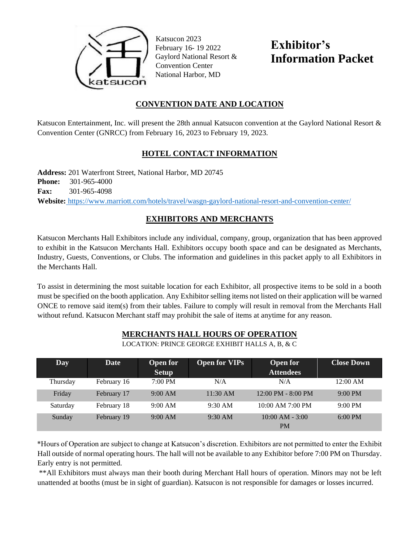

Katsucon 2023 February 16- 19 2022 Gaylord National Resort & Convention Center National Harbor, MD

**Exhibitor's Information Packet**

## **CONVENTION DATE AND LOCATION**

Katsucon Entertainment, Inc. will present the 28th annual Katsucon convention at the Gaylord National Resort & Convention Center (GNRCC) from February 16, 2023 to February 19, 2023.

# **HOTEL CONTACT INFORMATION**

**Address:** 201 Waterfront Street, National Harbor, MD 20745 **Phone:** 301-965-4000 **Fax:** 301-965-4098 **Website[:](http://www.marriott.com/hotels/travel/wasgn-gaylord-national-resort-and-convention-center/)** <https://www.marriott.com/hotels/travel/wasgn-gaylord-national-resort-and-convention-center/>

# **EXHIBITORS AND MERCHANTS**

Katsucon Merchants Hall Exhibitors include any individual, company, group, organization that has been approved to exhibit in the Katsucon Merchants Hall. Exhibitors occupy booth space and can be designated as Merchants, Industry, Guests, Conventions, or Clubs. The information and guidelines in this packet apply to all Exhibitors in the Merchants Hall.

To assist in determining the most suitable location for each Exhibitor, all prospective items to be sold in a booth must be specified on the booth application. Any Exhibitor selling items not listed on their application will be warned ONCE to remove said item(s) from their tables. Failure to comply will result in removal from the Merchants Hall without refund. Katsucon Merchant staff may prohibit the sale of items at anytime for any reason.

| Day      | Date        | <b>Open for</b><br><b>Setup</b> | <b>Open for VIPs</b> | <b>Open for</b><br><b>Attendees</b>  | <b>Close Down</b> |
|----------|-------------|---------------------------------|----------------------|--------------------------------------|-------------------|
| Thursday | February 16 | $7:00 \text{ PM}$               | N/A                  | N/A                                  | $12:00$ AM        |
| Friday   | February 17 | 9:00 AM                         | 11:30 AM             | $12:00 \text{ PM} - 8:00 \text{ PM}$ | $9:00 \text{ PM}$ |
| Saturday | February 18 | 9:00 AM                         | $9:30$ AM            | 10:00 AM 7:00 PM                     | $9:00 \text{ PM}$ |
| Sunday   | February 19 | 9:00 AM                         | $9:30$ AM            | $10:00$ AM $-3:00$<br><b>PM</b>      | $6:00 \text{ PM}$ |

### **MERCHANTS HALL HOURS OF OPERATION**

LOCATION: PRINCE GEORGE EXHIBIT HALLS A, B, & C

\*Hours of Operation are subject to change at Katsucon's discretion. Exhibitors are not permitted to enter the Exhibit Hall outside of normal operating hours. The hall will not be available to any Exhibitor before 7:00 PM on Thursday. Early entry is not permitted.

\*\*All Exhibitors must always man their booth during Merchant Hall hours of operation. Minors may not be left unattended at booths (must be in sight of guardian). Katsucon is not responsible for damages or losses incurred.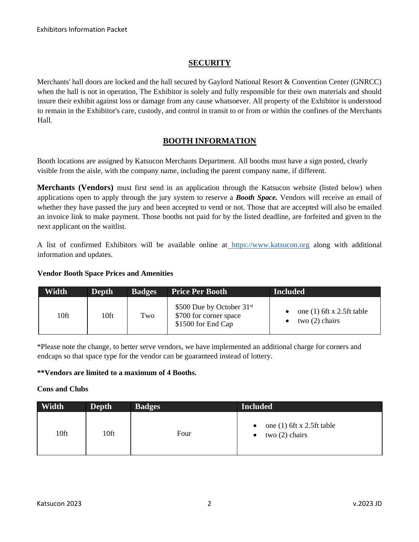### **SECURITY**

Merchants' hall doors are locked and the hall secured by Gaylord National Resort & Convention Center (GNRCC) when the hall is not in operation, The Exhibitor is solely and fully responsible for their own materials and should insure their exhibit against loss or damage from any cause whatsoever. All property of the Exhibitor is understood to remain in the Exhibitor's care, custody, and control in transit to or from or within the confines of the Merchants Hall.

## **BOOTH INFORMATION**

Booth locations are assigned by Katsucon Merchants Department. All booths must have a sign posted, clearly visible from the aisle, with the company name, including the parent company name, if different.

**Merchants (Vendors)** must first send in an application through the Katsucon website (listed below) when applications open to apply through the jury system to reserve a *Booth Space.* Vendors will receive an email of whether they have passed the jury and been accepted to vend or not. Those that are accepted will also be emailed an invoice link to make payment. Those booths not paid for by the listed deadline, are forfeited and given to the next applicant on the waitlist.

A list of confirmed Exhibitors will be available online a[t](http://www.katsucon.org/) [https://www.katsucon.org](https://www.katsucon.org/) along with additional information and updates.

#### **Vendor Booth Space Prices and Amenities**

| Width | Depth            | <b>Badges</b> | <b>Price Per Booth</b>                                                      | <b>Included</b>                                 |
|-------|------------------|---------------|-----------------------------------------------------------------------------|-------------------------------------------------|
| 10ft  | 10 <sup>ft</sup> | Two           | \$500 Due by October $31st$<br>\$700 for corner space<br>\$1500 for End Cap | one $(1)$ 6ft x 2.5ft table<br>two $(2)$ chairs |

\*Please note the change, to better serve vendors, we have implemented an additional charge for corners and endcaps so that space type for the vendor can be guaranteed instead of lottery.

#### **\*\*Vendors are limited to a maximum of 4 Booths.**

#### **Cons and Clubs**

| Width            | Depth | <b>Badges</b> | <b>Included</b>                                              |
|------------------|-------|---------------|--------------------------------------------------------------|
| 10 <sup>ft</sup> | 10ft  | Four          | one $(1)$ 6ft x 2.5ft table<br>$\bullet$<br>two $(2)$ chairs |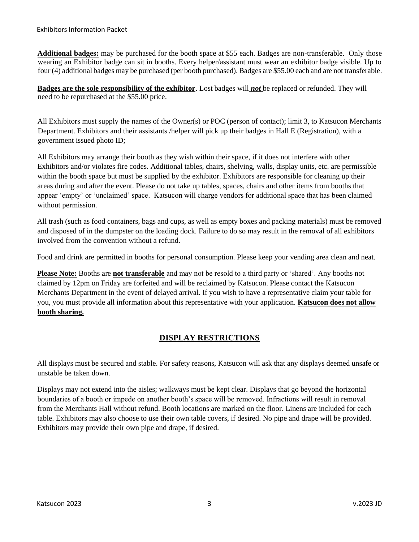**Additional badges:** may be purchased for the booth space at \$55 each. Badges are non-transferable. Only those wearing an Exhibitor badge can sit in booths. Every helper/assistant must wear an exhibitor badge visible. Up to four (4) additional badges may be purchased (per booth purchased). Badges are \$55.00 each and are not transferable.

**Badges are the sole responsibility of the exhibitor**. Lost badges will *not* be replaced or refunded. They will need to be repurchased at the \$55.00 price.

All Exhibitors must supply the names of the Owner(s) or POC (person of contact); limit 3, to Katsucon Merchants Department. Exhibitors and their assistants /helper will pick up their badges in Hall E (Registration), with a government issued photo ID;

All Exhibitors may arrange their booth as they wish within their space, if it does not interfere with other Exhibitors and/or violates fire codes. Additional tables, chairs, shelving, walls, display units, etc. are permissible within the booth space but must be supplied by the exhibitor. Exhibitors are responsible for cleaning up their areas during and after the event. Please do not take up tables, spaces, chairs and other items from booths that appear 'empty' or 'unclaimed' space. Katsucon will charge vendors for additional space that has been claimed without permission.

All trash (such as food containers, bags and cups, as well as empty boxes and packing materials) must be removed and disposed of in the dumpster on the loading dock. Failure to do so may result in the removal of all exhibitors involved from the convention without a refund.

Food and drink are permitted in booths for personal consumption. Please keep your vending area clean and neat.

**Please Note:** Booths are **not transferable** and may not be resold to a third party or 'shared'. Any booths not claimed by 12pm on Friday are forfeited and will be reclaimed by Katsucon. Please contact the Katsucon Merchants Department in the event of delayed arrival. If you wish to have a representative claim your table for you, you must provide all information about this representative with your application. **Katsucon does not allow booth sharing.**

# **DISPLAY RESTRICTIONS**

All displays must be secured and stable. For safety reasons, Katsucon will ask that any displays deemed unsafe or unstable be taken down.

Displays may not extend into the aisles; walkways must be kept clear. Displays that go beyond the horizontal boundaries of a booth or impede on another booth's space will be removed. Infractions will result in removal from the Merchants Hall without refund. Booth locations are marked on the floor. Linens are included for each table. Exhibitors may also choose to use their own table covers, if desired. No pipe and drape will be provided. Exhibitors may provide their own pipe and drape, if desired.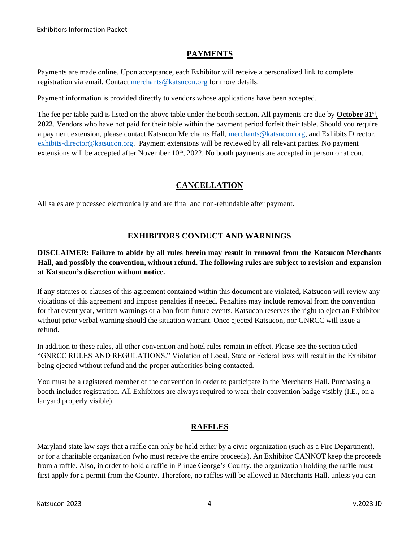### **PAYMENTS**

Payments are made online. Upon acceptance, each Exhibitor will receive a personalized link to complete registration via email. Contact [merchants@katsucon.org](mailto:merchants@katsucon.org) for more details.

Payment information is provided directly to vendors whose applications have been accepted.

The fee per table paid is listed on the above table under the booth section. All payments are due by **October 31st , 2022**. Vendors who have not paid for their table within the payment period forfeit their table. Should you require a payment extension, please contact Katsucon Merchants Hall, [merchants@katsucon.org,](mailto:merchants@katsucon.org) and Exhibits Director, [exhibits-director@katsucon.org.](mailto:exhibits-director@katsucon.org)Payment extensions will be reviewed by all relevant parties. No payment extensions will be accepted after November  $10<sup>th</sup>$ , 2022. No booth payments are accepted in person or at con.

# **CANCELLATION**

All sales are processed electronically and are final and non-refundable after payment.

## **EXHIBITORS CONDUCT AND WARNINGS**

#### **DISCLAIMER: Failure to abide by all rules herein may result in removal from the Katsucon Merchants Hall, and possibly the convention, without refund. The following rules are subject to revision and expansion at Katsucon's discretion without notice.**

If any statutes or clauses of this agreement contained within this document are violated, Katsucon will review any violations of this agreement and impose penalties if needed. Penalties may include removal from the convention for that event year, written warnings or a ban from future events. Katsucon reserves the right to eject an Exhibitor without prior verbal warning should the situation warrant. Once ejected Katsucon, nor GNRCC will issue a refund.

In addition to these rules, all other convention and hotel rules remain in effect. Please see the section titled "GNRCC RULES AND REGULATIONS." Violation of Local, State or Federal laws will result in the Exhibitor being ejected without refund and the proper authorities being contacted.

You must be a registered member of the convention in order to participate in the Merchants Hall. Purchasing a booth includes registration. All Exhibitors are always required to wear their convention badge visibly (I.E., on a lanyard properly visible).

### **RAFFLES**

Maryland state law says that a raffle can only be held either by a civic organization (such as a Fire Department), or for a charitable organization (who must receive the entire proceeds). An Exhibitor CANNOT keep the proceeds from a raffle. Also, in order to hold a raffle in Prince George's County, the organization holding the raffle must first apply for a permit from the County. Therefore, no raffles will be allowed in Merchants Hall, unless you can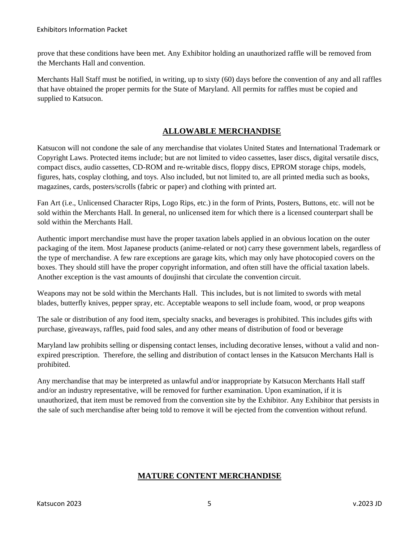prove that these conditions have been met. Any Exhibitor holding an unauthorized raffle will be removed from the Merchants Hall and convention.

Merchants Hall Staff must be notified, in writing, up to sixty (60) days before the convention of any and all raffles that have obtained the proper permits for the State of Maryland. All permits for raffles must be copied and supplied to Katsucon.

## **ALLOWABLE MERCHANDISE**

Katsucon will not condone the sale of any merchandise that violates United States and International Trademark or Copyright Laws. Protected items include; but are not limited to video cassettes, laser discs, digital versatile discs, compact discs, audio cassettes, CD-ROM and re-writable discs, floppy discs, EPROM storage chips, models, figures, hats, cosplay clothing, and toys. Also included, but not limited to, are all printed media such as books, magazines, cards, posters/scrolls (fabric or paper) and clothing with printed art.

Fan Art (i.e., Unlicensed Character Rips, Logo Rips, etc.) in the form of Prints, Posters, Buttons, etc. will not be sold within the Merchants Hall. In general, no unlicensed item for which there is a licensed counterpart shall be sold within the Merchants Hall.

Authentic import merchandise must have the proper taxation labels applied in an obvious location on the outer packaging of the item. Most Japanese products (anime-related or not) carry these government labels, regardless of the type of merchandise. A few rare exceptions are garage kits, which may only have photocopied covers on the boxes. They should still have the proper copyright information, and often still have the official taxation labels. Another exception is the vast amounts of doujinshi that circulate the convention circuit.

Weapons may not be sold within the Merchants Hall. This includes, but is not limited to swords with metal blades, butterfly knives, pepper spray, etc. Acceptable weapons to sell include foam, wood, or prop weapons

The sale or distribution of any food item, specialty snacks, and beverages is prohibited. This includes gifts with purchase, giveaways, raffles, paid food sales, and any other means of distribution of food or beverage

Maryland law prohibits selling or dispensing contact lenses, including decorative lenses, without a valid and nonexpired prescription. Therefore, the selling and distribution of contact lenses in the Katsucon Merchants Hall is prohibited.

Any merchandise that may be interpreted as unlawful and/or inappropriate by Katsucon Merchants Hall staff and/or an industry representative, will be removed for further examination. Upon examination, if it is unauthorized, that item must be removed from the convention site by the Exhibitor. Any Exhibitor that persists in the sale of such merchandise after being told to remove it will be ejected from the convention without refund.

# **MATURE CONTENT MERCHANDISE**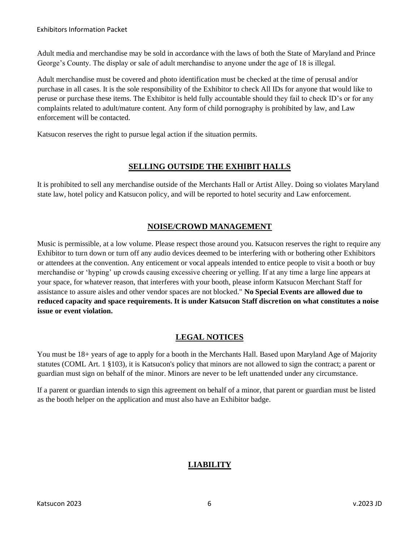Adult media and merchandise may be sold in accordance with the laws of both the State of Maryland and Prince George's County. The display or sale of adult merchandise to anyone under the age of 18 is illegal.

Adult merchandise must be covered and photo identification must be checked at the time of perusal and/or purchase in all cases. It is the sole responsibility of the Exhibitor to check All IDs for anyone that would like to peruse or purchase these items. The Exhibitor is held fully accountable should they fail to check ID's or for any complaints related to adult/mature content. Any form of child pornography is prohibited by law, and Law enforcement will be contacted.

Katsucon reserves the right to pursue legal action if the situation permits.

### **SELLING OUTSIDE THE EXHIBIT HALLS**

It is prohibited to sell any merchandise outside of the Merchants Hall or Artist Alley. Doing so violates Maryland state law, hotel policy and Katsucon policy, and will be reported to hotel security and Law enforcement.

## **NOISE/CROWD MANAGEMENT**

Music is permissible, at a low volume. Please respect those around you. Katsucon reserves the right to require any Exhibitor to turn down or turn off any audio devices deemed to be interfering with or bothering other Exhibitors or attendees at the convention. Any enticement or vocal appeals intended to entice people to visit a booth or buy merchandise or 'hyping' up crowds causing excessive cheering or yelling. If at any time a large line appears at your space, for whatever reason, that interferes with your booth, please inform Katsucon Merchant Staff for assistance to assure aisles and other vendor spaces are not blocked." **No Special Events are allowed due to reduced capacity and space requirements. It is under Katsucon Staff discretion on what constitutes a noise issue or event violation.** 

# **LEGAL NOTICES**

You must be 18+ years of age to apply for a booth in the Merchants Hall. Based upon Maryland Age of Majority statutes (COML Art. 1 §103), it is Katsucon's policy that minors are not allowed to sign the contract; a parent or guardian must sign on behalf of the minor. Minors are never to be left unattended under any circumstance.

If a parent or guardian intends to sign this agreement on behalf of a minor, that parent or guardian must be listed as the booth helper on the application and must also have an Exhibitor badge.

# **LIABILITY**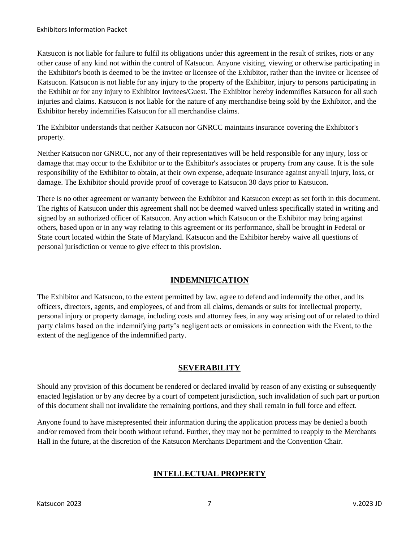Katsucon is not liable for failure to fulfil its obligations under this agreement in the result of strikes, riots or any other cause of any kind not within the control of Katsucon. Anyone visiting, viewing or otherwise participating in the Exhibitor's booth is deemed to be the invitee or licensee of the Exhibitor, rather than the invitee or licensee of Katsucon. Katsucon is not liable for any injury to the property of the Exhibitor, injury to persons participating in the Exhibit or for any injury to Exhibitor Invitees/Guest. The Exhibitor hereby indemnifies Katsucon for all such injuries and claims. Katsucon is not liable for the nature of any merchandise being sold by the Exhibitor, and the Exhibitor hereby indemnifies Katsucon for all merchandise claims.

The Exhibitor understands that neither Katsucon nor GNRCC maintains insurance covering the Exhibitor's property.

Neither Katsucon nor GNRCC, nor any of their representatives will be held responsible for any injury, loss or damage that may occur to the Exhibitor or to the Exhibitor's associates or property from any cause. It is the sole responsibility of the Exhibitor to obtain, at their own expense, adequate insurance against any/all injury, loss, or damage. The Exhibitor should provide proof of coverage to Katsucon 30 days prior to Katsucon.

There is no other agreement or warranty between the Exhibitor and Katsucon except as set forth in this document. The rights of Katsucon under this agreement shall not be deemed waived unless specifically stated in writing and signed by an authorized officer of Katsucon. Any action which Katsucon or the Exhibitor may bring against others, based upon or in any way relating to this agreement or its performance, shall be brought in Federal or State court located within the State of Maryland. Katsucon and the Exhibitor hereby waive all questions of personal jurisdiction or venue to give effect to this provision.

### **INDEMNIFICATION**

The Exhibitor and Katsucon, to the extent permitted by law, agree to defend and indemnify the other, and its officers, directors, agents, and employees, of and from all claims, demands or suits for intellectual property, personal injury or property damage, including costs and attorney fees, in any way arising out of or related to third party claims based on the indemnifying party's negligent acts or omissions in connection with the Event, to the extent of the negligence of the indemnified party.

### **SEVERABILITY**

Should any provision of this document be rendered or declared invalid by reason of any existing or subsequently enacted legislation or by any decree by a court of competent jurisdiction, such invalidation of such part or portion of this document shall not invalidate the remaining portions, and they shall remain in full force and effect.

Anyone found to have misrepresented their information during the application process may be denied a booth and/or removed from their booth without refund. Further, they may not be permitted to reapply to the Merchants Hall in the future, at the discretion of the Katsucon Merchants Department and the Convention Chair.

# **INTELLECTUAL PROPERTY**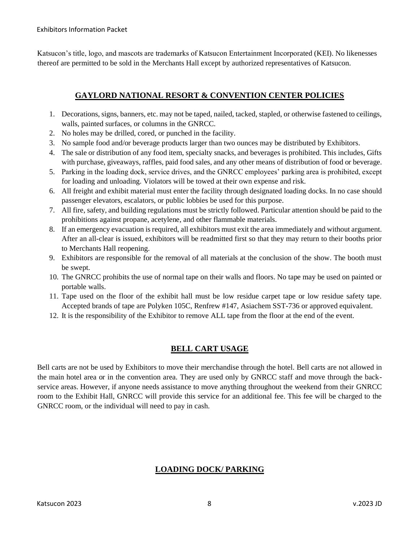Katsucon's title, logo, and mascots are trademarks of Katsucon Entertainment Incorporated (KEI). No likenesses thereof are permitted to be sold in the Merchants Hall except by authorized representatives of Katsucon.

### **GAYLORD NATIONAL RESORT & CONVENTION CENTER POLICIES**

- 1. Decorations, signs, banners, etc. may not be taped, nailed, tacked, stapled, or otherwise fastened to ceilings, walls, painted surfaces, or columns in the GNRCC.
- 2. No holes may be drilled, cored, or punched in the facility.
- 3. No sample food and/or beverage products larger than two ounces may be distributed by Exhibitors.
- 4. The sale or distribution of any food item, specialty snacks, and beverages is prohibited. This includes, Gifts with purchase, giveaways, raffles, paid food sales, and any other means of distribution of food or beverage.
- 5. Parking in the loading dock, service drives, and the GNRCC employees' parking area is prohibited, except for loading and unloading. Violators will be towed at their own expense and risk.
- 6. All freight and exhibit material must enter the facility through designated loading docks. In no case should passenger elevators, escalators, or public lobbies be used for this purpose.
- 7. All fire, safety, and building regulations must be strictly followed. Particular attention should be paid to the prohibitions against propane, acetylene, and other flammable materials.
- 8. If an emergency evacuation is required, all exhibitors must exit the area immediately and without argument. After an all-clear is issued, exhibitors will be readmitted first so that they may return to their booths prior to Merchants Hall reopening.
- 9. Exhibitors are responsible for the removal of all materials at the conclusion of the show. The booth must be swept.
- 10. The GNRCC prohibits the use of normal tape on their walls and floors. No tape may be used on painted or portable walls.
- 11. Tape used on the floor of the exhibit hall must be low residue carpet tape or low residue safety tape. Accepted brands of tape are Polyken 105C, Renfrew #147, Asiachem SST-736 or approved equivalent.
- 12. It is the responsibility of the Exhibitor to remove ALL tape from the floor at the end of the event.

# **BELL CART USAGE**

Bell carts are not be used by Exhibitors to move their merchandise through the hotel. Bell carts are not allowed in the main hotel area or in the convention area. They are used only by GNRCC staff and move through the backservice areas. However, if anyone needs assistance to move anything throughout the weekend from their GNRCC room to the Exhibit Hall, GNRCC will provide this service for an additional fee. This fee will be charged to the GNRCC room, or the individual will need to pay in cash.

### **LOADING DOCK/ PARKING**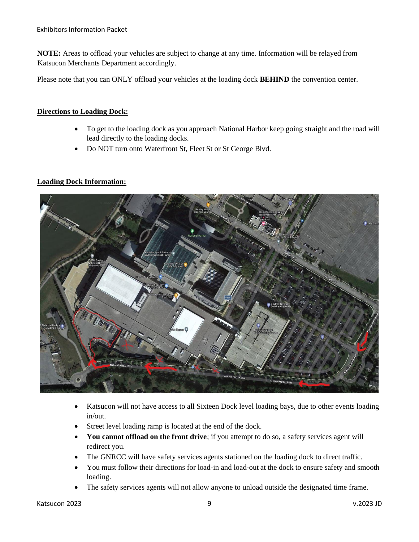**NOTE:** Areas to offload your vehicles are subject to change at any time. Information will be relayed from Katsucon Merchants Department accordingly.

Please note that you can ONLY offload your vehicles at the loading dock **BEHIND** the convention center.

#### **Directions to Loading Dock:**

- To get to the loading dock as you approach National Harbor keep going straight and the road will lead directly to the loading docks.
- Do NOT turn onto Waterfront St, Fleet St or St George Blvd.

#### **Loading Dock Information:**



- Katsucon will not have access to all Sixteen Dock level loading bays, due to other events loading in/out.
- Street level loading ramp is located at the end of the dock.
- **You cannot offload on the front drive**; if you attempt to do so, a safety services agent will redirect you.
- The GNRCC will have safety services agents stationed on the loading dock to direct traffic.
- You must follow their directions for load-in and load-out at the dock to ensure safety and smooth loading.
- The safety services agents will not allow anyone to unload outside the designated time frame.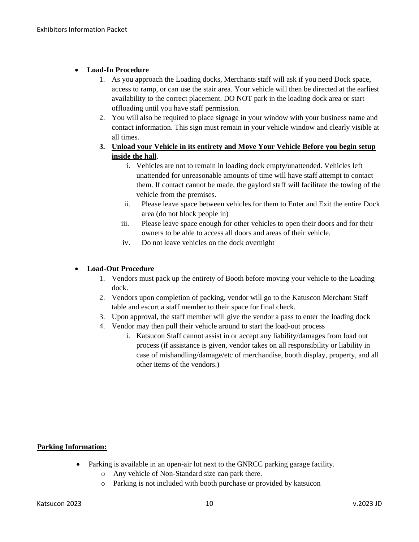#### • **Load-In Procedure**

- 1. As you approach the Loading docks, Merchants staff will ask if you need Dock space, access to ramp, or can use the stair area. Your vehicle will then be directed at the earliest availability to the correct placement. DO NOT park in the loading dock area or start offloading until you have staff permission.
- 2. You will also be required to place signage in your window with your business name and contact information. This sign must remain in your vehicle window and clearly visible at all times.
- **3. Unload your Vehicle in its entirety and Move Your Vehicle Before you begin setup inside the hall**.
	- i. Vehicles are not to remain in loading dock empty/unattended. Vehicles left unattended for unreasonable amounts of time will have staff attempt to contact them. If contact cannot be made, the gaylord staff will facilitate the towing of the vehicle from the premises.
	- ii. Please leave space between vehicles for them to Enter and Exit the entire Dock area (do not block people in)
	- iii. Please leave space enough for other vehicles to open their doors and for their owners to be able to access all doors and areas of their vehicle.
	- iv. Do not leave vehicles on the dock overnight

#### • **Load-Out Procedure**

- 1. Vendors must pack up the entirety of Booth before moving your vehicle to the Loading dock.
- 2. Vendors upon completion of packing, vendor will go to the Katuscon Merchant Staff table and escort a staff member to their space for final check.
- 3. Upon approval, the staff member will give the vendor a pass to enter the loading dock
- 4. Vendor may then pull their vehicle around to start the load-out process
	- i. Katsucon Staff cannot assist in or accept any liability/damages from load out process (if assistance is given, vendor takes on all responsibility or liability in case of mishandling/damage/etc of merchandise, booth display, property, and all other items of the vendors.)

#### **Parking Information:**

- Parking is available in an open-air lot next to the GNRCC parking garage facility.
	- o Any vehicle of Non-Standard size can park there.
	- o Parking is not included with booth purchase or provided by katsucon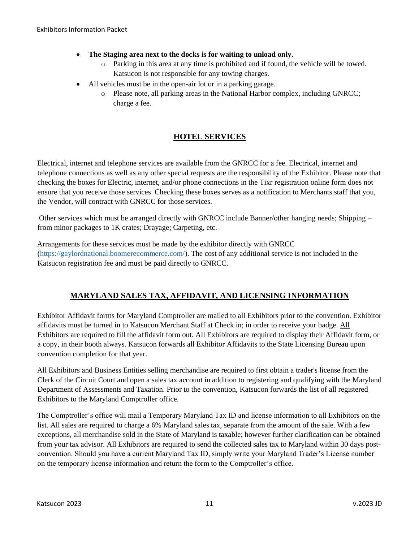- **The Staging area next to the docks is for waiting to unload only.** 
	- o Parking in this area at any time is prohibited and if found, the vehicle will be towed. Katsucon is not responsible for any towing charges.
- All vehicles must be in the open-air lot or in a parking garage.
	- o Please note, all parking areas in the National Harbor complex, including GNRCC; charge a fee.

## **HOTEL SERVICES**

Electrical, internet and telephone services are available from the GNRCC for a fee. Electrical, internet and telephone connections as well as any other special requests are the responsibility of the Exhibitor. Please note that checking the boxes for Electric, internet, and/or phone connections in the Tixr registration online form does not ensure that you receive those services. Checking these boxes serves as a notification to Merchants staff that you, the Vendor, will contract with GNRCC for those services.

Other services which must be arranged directly with GNRCC include Banner/other hanging needs; Shipping – from minor packages to 1K crates; Drayage; Carpeting, etc.

Arrangements for these services must be made by the exhibitor directly with GNRCC [\(https://gaylordnational.boomerecommerce.com/\)](https://gaylordnational.boomerecommerce.com/). The cost of any additional service is not included in the Katsucon registration fee and must be paid directly to GNRCC.

# **MARYLAND SALES TAX, AFFIDAVIT, AND LICENSING INFORMATION**

Exhibitor Affidavit forms for Maryland Comptroller are mailed to all Exhibitors prior to the convention. Exhibitor affidavits must be turned in to Katsucon Merchant Staff at Check in; in order to receive your badge. All Exhibitors are required to fill the affidavit form out. All Exhibitors are required to display their Affidavit form, or a copy, in their booth always. Katsucon forwards all Exhibitor Affidavits to the State Licensing Bureau upon convention completion for that year.

All Exhibitors and Business Entities selling merchandise are required to first obtain a trader's license from the Clerk of the Circuit Court and open a sales tax account in addition to registering and qualifying with the Maryland Department of Assessments and Taxation. Prior to the convention, Katsucon forwards the list of all registered Exhibitors to the Maryland Comptroller office.

The Comptroller's office will mail a Temporary Maryland Tax ID and license information to all Exhibitors on the list. All sales are required to charge a 6% Maryland sales tax, separate from the amount of the sale. With a few exceptions, all merchandise sold in the State of Maryland is taxable; however further clarification can be obtained from your tax advisor. All Exhibitors are required to send the collected sales tax to Maryland within 30 days postconvention. Should you have a current Maryland Tax ID, simply write your Maryland Trader's License number on the temporary license information and return the form to the Comptroller's office.